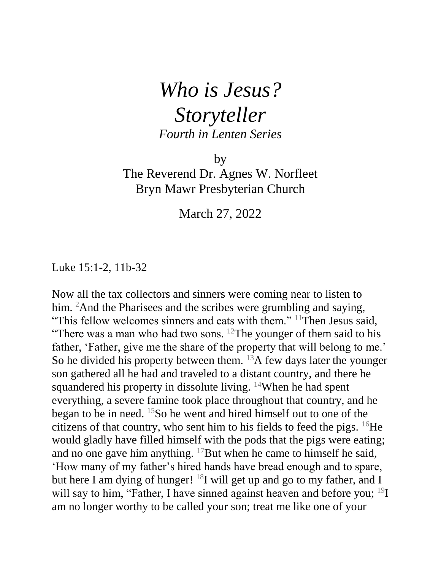## *Who is Jesus? Storyteller Fourth in Lenten Series*

by

The Reverend Dr. Agnes W. Norfleet Bryn Mawr Presbyterian Church

March 27, 2022

Luke 15:1-2, 11b-32

Now all the tax collectors and sinners were coming near to listen to him. <sup>2</sup>And the Pharisees and the scribes were grumbling and saying, "This fellow welcomes sinners and eats with them." <sup>11</sup>Then Jesus said, "There was a man who had two sons. <sup>12</sup>The younger of them said to his father, 'Father, give me the share of the property that will belong to me.' So he divided his property between them.  $^{13}$ A few days later the younger son gathered all he had and traveled to a distant country, and there he squandered his property in dissolute living. <sup>14</sup>When he had spent everything, a severe famine took place throughout that country, and he began to be in need. <sup>15</sup>So he went and hired himself out to one of the citizens of that country, who sent him to his fields to feed the pigs.  $^{16}$ He would gladly have filled himself with the pods that the pigs were eating; and no one gave him anything.  $^{17}$ But when he came to himself he said, 'How many of my father's hired hands have bread enough and to spare, but here I am dying of hunger!  $^{18}I$  will get up and go to my father, and I will say to him, "Father, I have sinned against heaven and before you; <sup>19</sup>I am no longer worthy to be called your son; treat me like one of your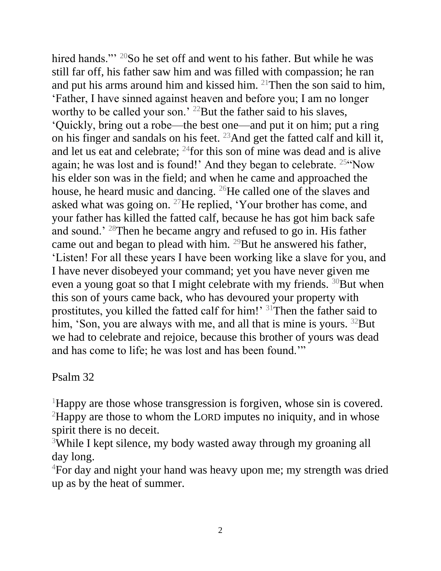hired hands."<sup>20</sup>So he set off and went to his father. But while he was still far off, his father saw him and was filled with compassion; he ran and put his arms around him and kissed him. <sup>21</sup>Then the son said to him, 'Father, I have sinned against heaven and before you; I am no longer worthy to be called your son.' <sup>22</sup>But the father said to his slaves, 'Quickly, bring out a robe—the best one—and put it on him; put a ring on his finger and sandals on his feet. <sup>23</sup>And get the fatted calf and kill it, and let us eat and celebrate;  $^{24}$  for this son of mine was dead and is alive again; he was lost and is found!' And they began to celebrate. <sup>25"</sup>Now his elder son was in the field; and when he came and approached the house, he heard music and dancing. <sup>26</sup>He called one of the slaves and asked what was going on. <sup>27</sup>He replied, 'Your brother has come, and your father has killed the fatted calf, because he has got him back safe and sound.' <sup>28</sup>Then he became angry and refused to go in. His father came out and began to plead with him. <sup>29</sup>But he answered his father, 'Listen! For all these years I have been working like a slave for you, and I have never disobeyed your command; yet you have never given me even a young goat so that I might celebrate with my friends.  $30$ But when this son of yours came back, who has devoured your property with prostitutes, you killed the fatted calf for him!' <sup>31</sup>Then the father said to him, 'Son, you are always with me, and all that is mine is yours.  $32$ But we had to celebrate and rejoice, because this brother of yours was dead and has come to life; he was lost and has been found.'"

## Psalm 32

<sup>1</sup>Happy are those whose transgression is forgiven, whose sin is covered. <sup>2</sup>Happy are those to whom the LORD imputes no iniquity, and in whose spirit there is no deceit.

<sup>3</sup>While I kept silence, my body wasted away through my groaning all day long.

<sup>4</sup>For day and night your hand was heavy upon me; my strength was dried up as by the heat of summer.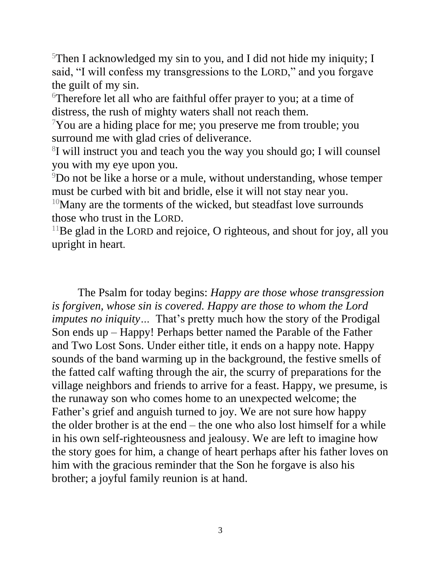$5$ Then I acknowledged my sin to you, and I did not hide my iniquity; I said, "I will confess my transgressions to the LORD," and you forgave the guilt of my sin.

<sup>6</sup>Therefore let all who are faithful offer prayer to you; at a time of distress, the rush of mighty waters shall not reach them.

 $\gamma$ You are a hiding place for me; you preserve me from trouble; you surround me with glad cries of deliverance.

8 I will instruct you and teach you the way you should go; I will counsel you with my eye upon you.

<sup>9</sup>Do not be like a horse or a mule, without understanding, whose temper must be curbed with bit and bridle, else it will not stay near you.

 $10$ Many are the torments of the wicked, but steadfast love surrounds those who trust in the LORD.

 $11$ Be glad in the LORD and rejoice, O righteous, and shout for joy, all you upright in heart.

The Psalm for today begins: *Happy are those whose transgression is forgiven, whose sin is covered. Happy are those to whom the Lord imputes no iniquity…* That's pretty much how the story of the Prodigal Son ends up – Happy! Perhaps better named the Parable of the Father and Two Lost Sons. Under either title, it ends on a happy note. Happy sounds of the band warming up in the background, the festive smells of the fatted calf wafting through the air, the scurry of preparations for the village neighbors and friends to arrive for a feast. Happy, we presume, is the runaway son who comes home to an unexpected welcome; the Father's grief and anguish turned to joy. We are not sure how happy the older brother is at the end – the one who also lost himself for a while in his own self-righteousness and jealousy. We are left to imagine how the story goes for him, a change of heart perhaps after his father loves on him with the gracious reminder that the Son he forgave is also his brother; a joyful family reunion is at hand.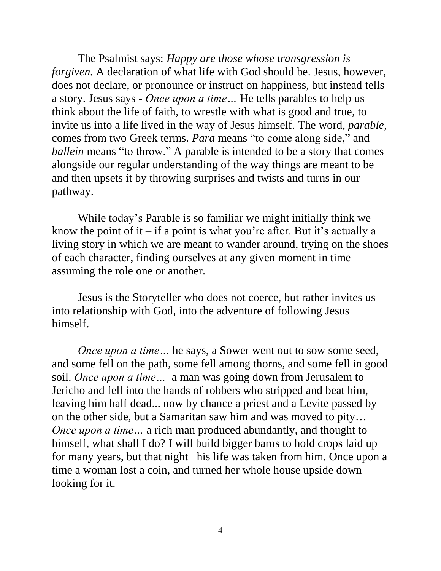The Psalmist says: *Happy are those whose transgression is forgiven.* A declaration of what life with God should be. Jesus, however, does not declare, or pronounce or instruct on happiness, but instead tells a story. Jesus says - *Once upon a time…* He tells parables to help us think about the life of faith, to wrestle with what is good and true, to invite us into a life lived in the way of Jesus himself. The word, *parable*, comes from two Greek terms. *Para* means "to come along side," and *ballein* means "to throw." A parable is intended to be a story that comes alongside our regular understanding of the way things are meant to be and then upsets it by throwing surprises and twists and turns in our pathway.

 While today's Parable is so familiar we might initially think we know the point of it – if a point is what you're after. But it's actually a living story in which we are meant to wander around, trying on the shoes of each character, finding ourselves at any given moment in time assuming the role one or another.

Jesus is the Storyteller who does not coerce, but rather invites us into relationship with God, into the adventure of following Jesus himself.

*Once upon a time...* he says, a Sower went out to sow some seed, and some fell on the path, some fell among thorns, and some fell in good soil. *Once upon a time…* a man was going down from Jerusalem to Jericho and fell into the hands of robbers who stripped and beat him, leaving him half dead... now by chance a priest and a Levite passed by on the other side, but a Samaritan saw him and was moved to pity… *Once upon a time* ... a rich man produced abundantly, and thought to himself, what shall I do? I will build bigger barns to hold crops laid up for many years, but that night his life was taken from him. Once upon a time a woman lost a coin, and turned her whole house upside down looking for it.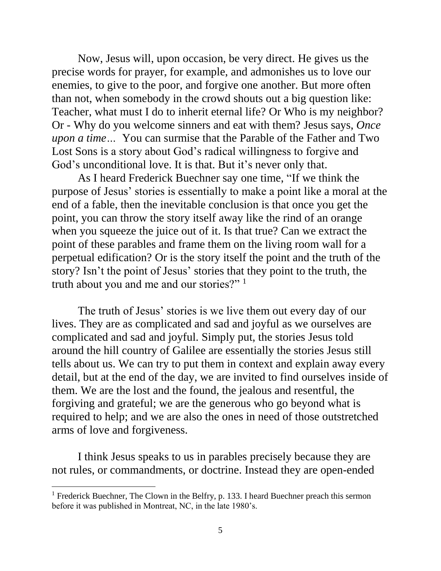Now, Jesus will, upon occasion, be very direct. He gives us the precise words for prayer, for example, and admonishes us to love our enemies, to give to the poor, and forgive one another. But more often than not, when somebody in the crowd shouts out a big question like: Teacher, what must I do to inherit eternal life? Or Who is my neighbor? Or - Why do you welcome sinners and eat with them? Jesus says, *Once upon a time…* You can surmise that the Parable of the Father and Two Lost Sons is a story about God's radical willingness to forgive and God's unconditional love. It is that. But it's never only that.

 As I heard Frederick Buechner say one time, "If we think the purpose of Jesus' stories is essentially to make a point like a moral at the end of a fable, then the inevitable conclusion is that once you get the point, you can throw the story itself away like the rind of an orange when you squeeze the juice out of it. Is that true? Can we extract the point of these parables and frame them on the living room wall for a perpetual edification? Or is the story itself the point and the truth of the story? Isn't the point of Jesus' stories that they point to the truth, the truth about you and me and our stories?" <sup>1</sup>

The truth of Jesus' stories is we live them out every day of our lives. They are as complicated and sad and joyful as we ourselves are complicated and sad and joyful. Simply put, the stories Jesus told around the hill country of Galilee are essentially the stories Jesus still tells about us. We can try to put them in context and explain away every detail, but at the end of the day, we are invited to find ourselves inside of them. We are the lost and the found, the jealous and resentful, the forgiving and grateful; we are the generous who go beyond what is required to help; and we are also the ones in need of those outstretched arms of love and forgiveness.

 I think Jesus speaks to us in parables precisely because they are not rules, or commandments, or doctrine. Instead they are open-ended

 $\overline{a}$ 

<sup>&</sup>lt;sup>1</sup> Frederick Buechner, The Clown in the Belfry, p. 133. I heard Buechner preach this sermon before it was published in Montreat, NC, in the late 1980's.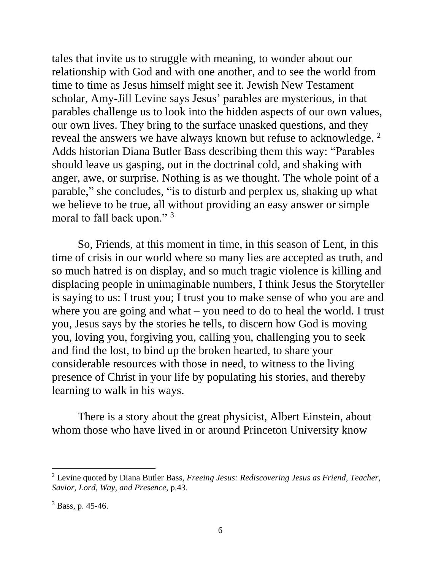tales that invite us to struggle with meaning, to wonder about our relationship with God and with one another, and to see the world from time to time as Jesus himself might see it. Jewish New Testament scholar, Amy-Jill Levine says Jesus' parables are mysterious, in that parables challenge us to look into the hidden aspects of our own values, our own lives. They bring to the surface unasked questions, and they reveal the answers we have always known but refuse to acknowledge. <sup>2</sup> Adds historian Diana Butler Bass describing them this way: "Parables should leave us gasping, out in the doctrinal cold, and shaking with anger, awe, or surprise. Nothing is as we thought. The whole point of a parable," she concludes, "is to disturb and perplex us, shaking up what we believe to be true, all without providing an easy answer or simple moral to fall back upon." <sup>3</sup>

 So, Friends, at this moment in time, in this season of Lent, in this time of crisis in our world where so many lies are accepted as truth, and so much hatred is on display, and so much tragic violence is killing and displacing people in unimaginable numbers, I think Jesus the Storyteller is saying to us: I trust you; I trust you to make sense of who you are and where you are going and what – you need to do to heal the world. I trust you, Jesus says by the stories he tells, to discern how God is moving you, loving you, forgiving you, calling you, challenging you to seek and find the lost, to bind up the broken hearted, to share your considerable resources with those in need, to witness to the living presence of Christ in your life by populating his stories, and thereby learning to walk in his ways.

 There is a story about the great physicist, Albert Einstein, about whom those who have lived in or around Princeton University know

 $\overline{a}$ 

<sup>2</sup> Levine quoted by Diana Butler Bass, *Freeing Jesus: Rediscovering Jesus as Friend, Teacher, Savior, Lord, Way, and Presence*, p.43.

 $3$  Bass, p. 45-46.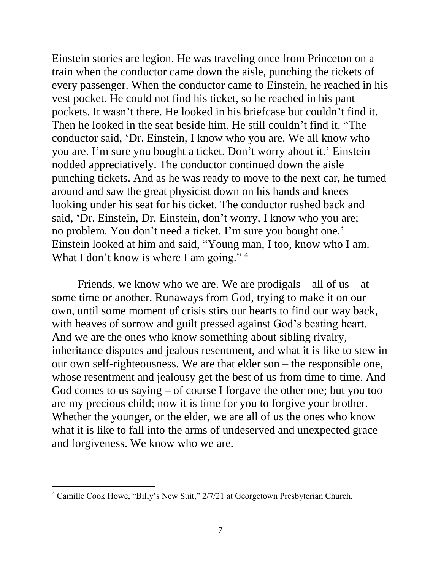Einstein stories are legion. He was traveling once from Princeton on a train when the conductor came down the aisle, punching the tickets of every passenger. When the conductor came to Einstein, he reached in his vest pocket. He could not find his ticket, so he reached in his pant pockets. It wasn't there. He looked in his briefcase but couldn't find it. Then he looked in the seat beside him. He still couldn't find it. "The conductor said, 'Dr. Einstein, I know who you are. We all know who you are. I'm sure you bought a ticket. Don't worry about it.' Einstein nodded appreciatively. The conductor continued down the aisle punching tickets. And as he was ready to move to the next car, he turned around and saw the great physicist down on his hands and knees looking under his seat for his ticket. The conductor rushed back and said, 'Dr. Einstein, Dr. Einstein, don't worry, I know who you are; no problem. You don't need a ticket. I'm sure you bought one.' Einstein looked at him and said, "Young man, I too, know who I am. What I don't know is where I am going."  $4$ 

Friends, we know who we are. We are prodigals – all of us – at some time or another. Runaways from God, trying to make it on our own, until some moment of crisis stirs our hearts to find our way back, with heaves of sorrow and guilt pressed against God's beating heart. And we are the ones who know something about sibling rivalry, inheritance disputes and jealous resentment, and what it is like to stew in our own self-righteousness. We are that elder son – the responsible one, whose resentment and jealousy get the best of us from time to time. And God comes to us saying – of course I forgave the other one; but you too are my precious child; now it is time for you to forgive your brother. Whether the younger, or the elder, we are all of us the ones who know what it is like to fall into the arms of undeserved and unexpected grace and forgiveness. We know who we are.

 $\overline{a}$ 

<sup>4</sup> Camille Cook Howe, "Billy's New Suit," 2/7/21 at Georgetown Presbyterian Church.